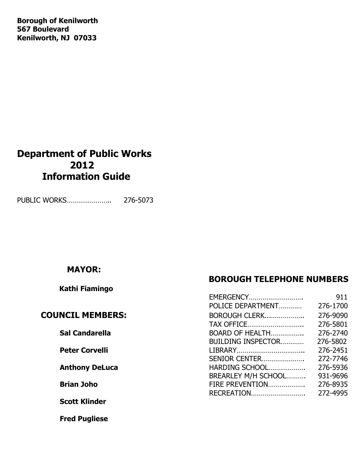**Borough of Kenilworth 567 Boulevard Kenilworth, NJ 07033**

# **Department of Public Works 2012 Information Guide**

PUBLIC WORKS………………….. 276-5073

## **MAYOR:**

 **Kathi Fiamingo** 

## **COUNCIL MEMBERS:**

## **Peter Corvelli**

**Scott Klinder** 

**Fred Pugliese** 

# **BOROUGH TELEPHONE NUMBERS**

|                         | EMERGENCY           | 911      |
|-------------------------|---------------------|----------|
|                         | POLICE DEPARTMENT   | 276-1700 |
| <b>COUNCIL MEMBERS:</b> | BOROUGH CLERK       | 276-9090 |
|                         | <b>TAX OFFICE</b>   | 276-5801 |
| <b>Sal Candarella</b>   | BOARD OF HEALTH     | 276-2740 |
|                         | BUILDING INSPECTOR  | 276-5802 |
| <b>Peter Corvelli</b>   |                     | 276-2451 |
|                         | SENIOR CENTER       | 272-7746 |
| <b>Anthony DeLuca</b>   | HARDING SCHOOL      | 276-5936 |
|                         | BREARLEY M/H SCHOOL | 931-9696 |
| <b>Brian Joho</b>       | FIRE PREVENTION     | 276-8935 |
|                         | RECREATION          | 272-4995 |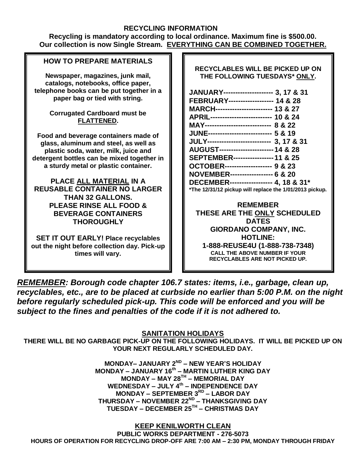#### **RECYCLING INFORMATION**

**Recycling is mandatory according to local ordinance. Maximum fine is \$500.00. Our collection is now Single Stream. EVERYTHING CAN BE COMBINED TOGETHER.**

#### **HOW TO PREPARE MATERIALS**

**Newspaper, magazines, junk mail, catalogs, notebooks, office paper, telephone books can be put together in a paper bag or tied with string.** 

#### **Corrugated Cardboard must be FLATTENED.**

**Food and beverage containers made of glass, aluminum and steel, as well as plastic soda, water, milk, juice and detergent bottles can be mixed together in a sturdy metal or plastic container.** 

**PLACE ALL MATERIAL IN A REUSABLE CONTAINER NO LARGER THAN 32 GALLONS. PLEASE RINSE ALL FOOD & BEVERAGE CONTAINERS THOROUGHLY**

**SET IT OUT EARLY! Place recyclables out the night before collection day. Pick-up times will vary.**

#### **RECYCLABLES WILL BE PICKED UP ON THE FOLLOWING TUESDAYS\* ONLY.**

| JANUARY--------------------- 3, 17 & 31                 |
|---------------------------------------------------------|
| FEBRUARY------------------- 14 & 28                     |
| MARCH----------------------- 13 & 27                    |
| APRIL-------------------------- 10 & 24                 |
| MAY--------------------------- 8 & 22                   |
| JUNE--------------------------- 5 & 19                  |
| JULY--------------------------- 3, 17 & 31              |
| AUGUST----------------------- 14 & 28                   |
| SEPTEMBER----------------- 11 & 25                      |
| OCTOBER-------------------- 9 & 23                      |
| NOVEMBER------------------ 6 & 20                       |
| DECEMBER------------------ 4, 18 & 31*                  |
| *The 12/31/12 pickup will replace the 1/01/2013 pickup. |

**REMEMBER THESE ARE THE ONLY SCHEDULED DATES GIORDANO COMPANY, INC. HOTLINE: 1-888-REUSE4U (1-888-738-7348) CALL THE ABOVE NUMBER IF YOUR RECYCLABLES ARE NOT PICKED UP.** 

*REMEMBER: Borough code chapter 106.7 states: items, i.e., garbage, clean up, recyclables, etc., are to be placed at curbside no earlier than 5:00 P.M. on the night before regularly scheduled pick-up. This code will be enforced and you will be subject to the fines and penalties of the code if it is not adhered to.*

**SANITATION HOLIDAYS**

**THERE WILL BE NO GARBAGE PICK-UP ON THE FOLLOWING HOLIDAYS. IT WILL BE PICKED UP ON YOUR NEXT REGULARLY SCHEDULED DAY.**

> **MONDAY– JANUARY 2 ND – NEW YEAR'S HOLIDAY MONDAY – JANUARY 16 th – MARTIN LUTHER KING DAY MONDAY – MAY 28TH – MEMORIAL DAY WEDNESDAY – JULY 4 th – INDEPENDENCE DAY MONDAY – SEPTEMBER 3 RD – LABOR DAY THURSDAY – NOVEMBER 22ND – THANKSGIVING DAY**  $\mathbf{TUESDAY} - \mathbf{DECEMBER}\ 25^{\mathsf{TH}} - \mathbf{CHRISTMAS}\ \mathbf{DAY}$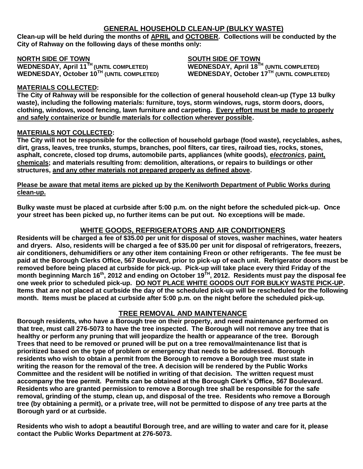## **GENERAL HOUSEHOLD CLEAN-UP (BULKY WASTE)**

**Clean-up will be held during the months of APRIL and OCTOBER. Collections will be conducted by the City of Rahway on the following days of these months only:**

**NORTH SIDE OF TOWN SOUTH SIDE OF TOWN WEDNESDAY, April 11 WEDNESDAY, October 10TH (UNTIL COMPLETED) WEDNESDAY, October 17TH (UNTIL COMPLETED)**

**TH (UNTIL COMPLETED) WEDNESDAY, April 18TH (UNTIL COMPLETED)**

#### **MATERIALS COLLECTED:**

**The City of Rahway will be responsible for the collection of general household clean-up (Type 13 bulky waste), including the following materials: furniture, toys, storm windows, rugs, storm doors, doors, clothing, windows, wood fencing, lawn furniture and carpeting. Every effort must be made to properly and safely containerize or bundle materials for collection wherever possible.**

#### **MATERIALS NOT COLLECTED:**

**The City will not be responsible for the collection of household garbage (food waste), recyclables, ashes, dirt, grass, leaves, tree trunks, stumps, branches, pool filters, car tires, railroad ties, rocks, stones, asphalt, concrete, closed top drums, automobile parts, appliances (white goods),** *electronics***, paint, chemicals; and materials resulting from: demolition, alterations, or repairs to buildings or other structures, and any other materials not prepared properly as defined above.** 

#### **Please be aware that metal items are picked up by the Kenilworth Department of Public Works during clean-up.**

**Bulky waste must be placed at curbside after 5:00 p.m. on the night before the scheduled pick-up. Once your street has been picked up, no further items can be put out. No exceptions will be made.** 

#### **WHITE GOODS, REFRIGERATORS AND AIR CONDITIONERS**

**Residents will be charged a fee of \$35.00 per unit for disposal of stoves, washer machines, water heaters and dryers. Also, residents will be charged a fee of \$35.00 per unit for disposal of refrigerators, freezers, air conditioners, dehumidifiers or any other item containing Freon or other refrigerants. The fee must be paid at the Borough Clerks Office, 567 Boulevard, prior to pick-up of each unit. Refrigerator doors must be removed before being placed at curbside for pick-up. Pick-up will take place every third Friday of the month beginning March 16 th , 2012 and ending on October 19 TH, 2012. Residents must pay the disposal fee one week prior to scheduled pick-up. DO NOT PLACE WHITE GOODS OUT FOR BULKY WASTE PICK-UP. Items that are not placed at curbside the day of the scheduled pick-up will be rescheduled for the following month. Items must be placed at curbside after 5:00 p.m. on the night before the scheduled pick-up.** 

## **TREE REMOVAL AND MAINTENANCE**

**Borough residents, who have a Borough tree on their property, and need maintenance performed on that tree, must call 276-5073 to have the tree inspected. The Borough will not remove any tree that is healthy or perform any pruning that will jeopardize the health or appearance of the tree. Borough Trees that need to be removed or pruned will be put on a tree removal/maintenance list that is prioritized based on the type of problem or emergency that needs to be addressed. Borough residents who wish to obtain a permit from the Borough to remove a Borough tree must state in writing the reason for the removal of the tree. A decision will be rendered by the Public Works Committee and the resident will be notified in writing of that decision. The written request must accompany the tree permit. Permits can be obtained at the Borough Clerk's Office, 567 Boulevard. Residents who are granted permission to remove a Borough tree shall be responsible for the safe removal, grinding of the stump, clean up, and disposal of the tree. Residents who remove a Borough tree (by obtaining a permit), or a private tree, will not be permitted to dispose of any tree parts at the Borough yard or at curbside.** 

**Residents who wish to adopt a beautiful Borough tree, and are willing to water and care for it, please contact the Public Works Department at 276-5073.**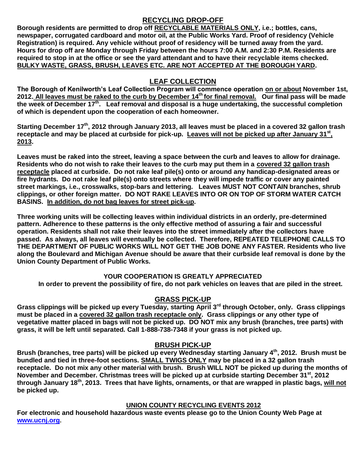## **RECYCLING DROP-OFF**

**Borough residents are permitted to drop off RECYCLABLE MATERIALS ONLY, i.e.; bottles, cans, newspaper, corrugated cardboard and motor oil, at the Public Works Yard. Proof of residency (Vehicle Registration) is required. Any vehicle without proof of residency will be turned away from the yard. Hours for drop off are Monday through Friday between the hours 7:00 A.M. and 2:30 P.M. Residents are required to stop in at the office or see the yard attendant and to have their recyclable items checked. BULKY WASTE, GRASS, BRUSH, LEAVES ETC. ARE NOT ACCEPTED AT THE BOROUGH YARD.**

## **LEAF COLLECTION**

**The Borough of Kenilworth's Leaf Collection Program will commence operation on or about November 1st,**  2012. All leaves must be raked to the curb by December 14<sup>th</sup> for final removal. Our final pass will be made **the week of December 17 th. Leaf removal and disposal is a huge undertaking, the successful completion of which is dependent upon the cooperation of each homeowner.**

Starting December 17<sup>th</sup>, 2012 through January 2013, all leaves must be placed in a covered 32 gallon trash receptacle and may be placed at curbside for pick-up. Leaves will not be picked up after January 31<sup>st</sup>, **2013.**

**Leaves must be raked into the street, leaving a space between the curb and leaves to allow for drainage. Residents who do not wish to rake their leaves to the curb may put them in a covered 32 gallon trash receptacle placed at curbside. Do not rake leaf pile(s) onto or around any handicap-designated areas or fire hydrants. Do not rake leaf pile(s) onto streets where they will impede traffic or cover any painted street markings, i.e., crosswalks, stop-bars and lettering. Leaves MUST NOT CONTAIN branches, shrub clippings, or other foreign matter. DO NOT RAKE LEAVES INTO OR ON TOP OF STORM WATER CATCH BASINS. In addition, do not bag leaves for street pick-up.**

**Three working units will be collecting leaves within individual districts in an orderly, pre-determined pattern. Adherence to these patterns is the only effective method of assuring a fair and successful operation. Residents shall not rake their leaves into the street immediately after the collectors have passed. As always, all leaves will eventually be collected. Therefore, REPEATED TELEPHONE CALLS TO THE DEPARTMENT OF PUBLIC WORKS WILL NOT GET THE JOB DONE ANY FASTER. Residents who live along the Boulevard and Michigan Avenue should be aware that their curbside leaf removal is done by the Union County Department of Public Works.** 

## **YOUR COOPERATION IS GREATLY APPRECIATED**

**In order to prevent the possibility of fire, do not park vehicles on leaves that are piled in the street.**

## **GRASS PICK-UP**

Grass clippings will be picked up every Tuesday, starting April 3<sup>rd</sup> through October, only. Grass clippings **must be placed in a covered 32 gallon trash receptacle only. Grass clippings or any other type of vegetative matter placed in bags will not be picked up. DO NOT mix any brush (branches, tree parts) with grass, it will be left until separated. Call 1-888-738-7348 if your grass is not picked up.** 

## **BRUSH PICK-UP**

**Brush (branches, tree parts) will be picked up every Wednesday starting January 4th, 2012. Brush must be bundled and tied in three-foot sections. SMALL TWIGS ONLY may be placed in a 32 gallon trash receptacle. Do not mix any other material with brush. Brush WILL NOT be picked up during the months of November and December. Christmas trees will be picked up at curbside starting December 31st, 2012 through January 18 th, 2013. Trees that have lights, ornaments, or that are wrapped in plastic bags, will not be picked up.**

## **UNION COUNTY RECYCLING EVENTS 2012**

**For electronic and household hazardous waste events please go to the Union County Web Page at [www.ucnj.org](http://www.ucnj.org/).**